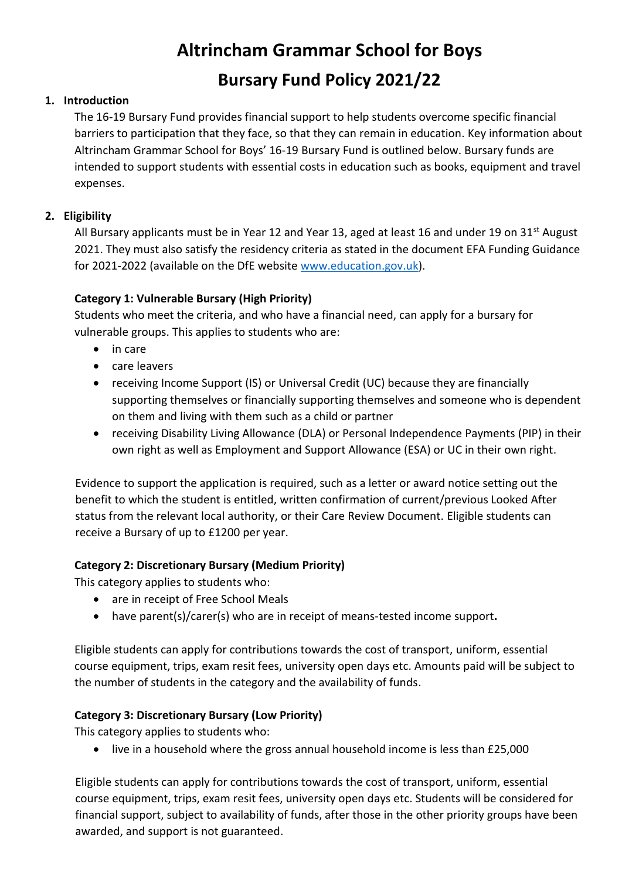# **Altrincham Grammar School for Boys Bursary Fund Policy 2021/22**

## **1. Introduction**

The 16-19 Bursary Fund provides financial support to help students overcome specific financial barriers to participation that they face, so that they can remain in education. Key information about Altrincham Grammar School for Boys' 16-19 Bursary Fund is outlined below. Bursary funds are intended to support students with essential costs in education such as books, equipment and travel expenses.

# **2. Eligibility**

All Bursary applicants must be in Year 12 and Year 13, aged at least 16 and under 19 on 31<sup>st</sup> August 2021. They must also satisfy the residency criteria as stated in the document EFA Funding Guidance for 2021-2022 (available on the DfE website [www.education.gov.uk\)](http://www.education.gov.uk/).

## **Category 1: Vulnerable Bursary (High Priority)**

Students who meet the criteria, and who have a financial need, can apply for a bursary for vulnerable groups. This applies to students who are:

- in care
- care leavers
- receiving Income Support (IS) or Universal Credit (UC) because they are financially supporting themselves or financially supporting themselves and someone who is dependent on them and living with them such as a child or partner
- receiving Disability Living Allowance (DLA) or Personal Independence Payments (PIP) in their own right as well as Employment and Support Allowance (ESA) or UC in their own right.

Evidence to support the application is required, such as a letter or award notice setting out the benefit to which the student is entitled, written confirmation of current/previous Looked After status from the relevant local authority, or their Care Review Document. Eligible students can receive a Bursary of up to £1200 per year.

#### **Category 2: Discretionary Bursary (Medium Priority)**

This category applies to students who:

- are in receipt of Free School Meals
- have parent(s)/carer(s) who are in receipt of means-tested income support**.**

Eligible students can apply for contributions towards the cost of transport, uniform, essential course equipment, trips, exam resit fees, university open days etc. Amounts paid will be subject to the number of students in the category and the availability of funds.

#### **Category 3: Discretionary Bursary (Low Priority)**

This category applies to students who:

• live in a household where the gross annual household income is less than £25,000

Eligible students can apply for contributions towards the cost of transport, uniform, essential course equipment, trips, exam resit fees, university open days etc. Students will be considered for financial support, subject to availability of funds, after those in the other priority groups have been awarded, and support is not guaranteed.